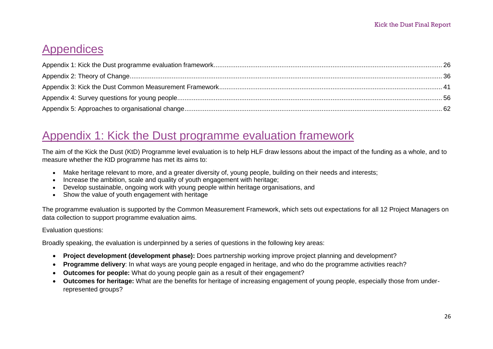## Appendices

### <span id="page-0-0"></span>Appendix 1: Kick the Dust programme evaluation framework

The aim of the Kick the Dust (KtD) Programme level evaluation is to help HLF draw lessons about the impact of the funding as a whole, and to measure whether the KtD programme has met its aims to:

- Make heritage relevant to more, and a greater diversity of, young people, building on their needs and interests;
- Increase the ambition, scale and quality of youth engagement with heritage:
- Develop sustainable, ongoing work with young people within heritage organisations, and
- Show the value of youth engagement with heritage

The programme evaluation is supported by the Common Measurement Framework, which sets out expectations for all 12 Project Managers on data collection to support programme evaluation aims.

#### Evaluation questions:

Broadly speaking, the evaluation is underpinned by a series of questions in the following key areas:

- **Project development (development phase):** Does partnership working improve project planning and development?
- **Programme delivery**: In what ways are young people engaged in heritage, and who do the programme activities reach?
- **Outcomes for people:** What do young people gain as a result of their engagement?
- **Outcomes for heritage:** What are the benefits for heritage of increasing engagement of young people, especially those from underrepresented groups?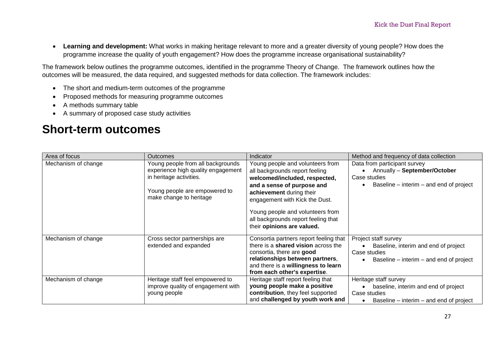**Learning and development:** What works in making heritage relevant to more and a greater diversity of young people? How does the programme increase the quality of youth engagement? How does the programme increase organisational sustainability?

The framework below outlines the programme outcomes, identified in the programme Theory of Change. The framework outlines how the outcomes will be measured, the data required, and suggested methods for data collection. The framework includes:

- The short and medium-term outcomes of the programme
- Proposed methods for measuring programme outcomes
- A methods summary table
- A summary of proposed case study activities

### **Short-term outcomes**

| Area of focus       | Outcomes                                                                                                                                                       | Indicator                                                                                                                                                                                                                                                                                                | Method and frequency of data collection                                                                                  |
|---------------------|----------------------------------------------------------------------------------------------------------------------------------------------------------------|----------------------------------------------------------------------------------------------------------------------------------------------------------------------------------------------------------------------------------------------------------------------------------------------------------|--------------------------------------------------------------------------------------------------------------------------|
| Mechanism of change | Young people from all backgrounds<br>experience high quality engagement<br>in heritage activities.<br>Young people are empowered to<br>make change to heritage | Young people and volunteers from<br>all backgrounds report feeling<br>welcomed/included, respected,<br>and a sense of purpose and<br>achievement during their<br>engagement with Kick the Dust.<br>Young people and volunteers from<br>all backgrounds report feeling that<br>their opinions are valued. | Data from participant survey<br>Annually - September/October<br>Case studies<br>Baseline – interim – and end of project  |
| Mechanism of change | Cross sector partnerships are<br>extended and expanded                                                                                                         | Consortia partners report feeling that<br>there is a shared vision across the<br>consortia, there are good<br>relationships between partners,<br>and there is a willingness to learn<br>from each other's expertise.                                                                                     | Project staff survey<br>Baseline, interim and end of project<br>Case studies<br>Baseline – interim – and end of project  |
| Mechanism of change | Heritage staff feel empowered to<br>improve quality of engagement with<br>young people                                                                         | Heritage staff report feeling that<br>young people make a positive<br>contribution, they feel supported<br>and challenged by youth work and                                                                                                                                                              | Heritage staff survey<br>baseline, interim and end of project<br>Case studies<br>Baseline – interim – and end of project |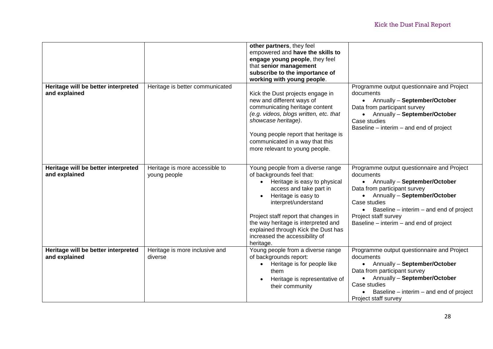| Heritage will be better interpreted<br>and explained | Heritage is better communicated                | other partners, they feel<br>empowered and have the skills to<br>engage young people, they feel<br>that senior management<br>subscribe to the importance of<br>working with young people.<br>Kick the Dust projects engage in<br>new and different ways of<br>communicating heritage content<br>(e.g. videos, blogs written, etc. that<br>showcase heritage).<br>Young people report that heritage is<br>communicated in a way that this<br>more relevant to young people. | Programme output questionnaire and Project<br>documents<br>• Annually - September/October<br>Data from participant survey<br>• Annually - September/October<br>Case studies<br>Baseline – interim – and end of project                                                                                 |
|------------------------------------------------------|------------------------------------------------|----------------------------------------------------------------------------------------------------------------------------------------------------------------------------------------------------------------------------------------------------------------------------------------------------------------------------------------------------------------------------------------------------------------------------------------------------------------------------|--------------------------------------------------------------------------------------------------------------------------------------------------------------------------------------------------------------------------------------------------------------------------------------------------------|
| Heritage will be better interpreted<br>and explained | Heritage is more accessible to<br>young people | Young people from a diverse range<br>of backgrounds feel that:<br>Heritage is easy to physical<br>access and take part in<br>Heritage is easy to<br>interpret/understand<br>Project staff report that changes in<br>the way heritage is interpreted and<br>explained through Kick the Dust has<br>increased the accessibility of<br>heritage.                                                                                                                              | Programme output questionnaire and Project<br>documents<br>• Annually - September/October<br>Data from participant survey<br>• Annually - September/October<br>Case studies<br>Baseline – interim – and end of project<br>$\bullet$<br>Project staff survey<br>Baseline – interim – and end of project |
| Heritage will be better interpreted<br>and explained | Heritage is more inclusive and<br>diverse      | Young people from a diverse range<br>of backgrounds report:<br>Heritage is for people like<br>them<br>Heritage is representative of<br>their community                                                                                                                                                                                                                                                                                                                     | Programme output questionnaire and Project<br>documents<br>• Annually - September/October<br>Data from participant survey<br>Annually - September/October<br>$\bullet$<br>Case studies<br>Baseline – interim – and end of project<br>$\bullet$<br>Project staff survey                                 |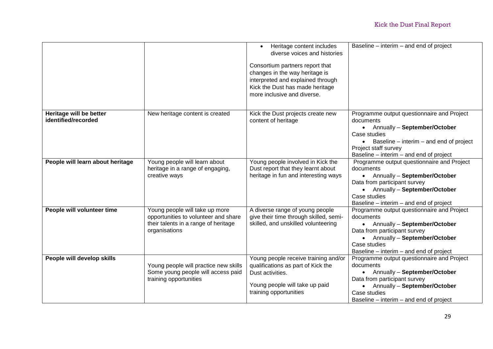|                                                |                                                                                                                                 | Heritage content includes<br>$\bullet$<br>diverse voices and histories<br>Consortium partners report that<br>changes in the way heritage is<br>interpreted and explained through<br>Kick the Dust has made heritage<br>more inclusive and diverse. | Baseline – interim – and end of project                                                                                                                                                                                |
|------------------------------------------------|---------------------------------------------------------------------------------------------------------------------------------|----------------------------------------------------------------------------------------------------------------------------------------------------------------------------------------------------------------------------------------------------|------------------------------------------------------------------------------------------------------------------------------------------------------------------------------------------------------------------------|
| Heritage will be better<br>identified/recorded | New heritage content is created                                                                                                 | Kick the Dust projects create new<br>content of heritage                                                                                                                                                                                           | Programme output questionnaire and Project<br>documents<br>Annually - September/October<br>Case studies<br>Baseline – interim – and end of project<br>Project staff survey<br>Baseline - interim - and end of project  |
| People will learn about heritage               | Young people will learn about<br>heritage in a range of engaging,<br>creative ways                                              | Young people involved in Kick the<br>Dust report that they learnt about<br>heritage in fun and interesting ways                                                                                                                                    | Programme output questionnaire and Project<br>documents<br>• Annually - September/October<br>Data from participant survey<br>Annually - September/October<br>Case studies<br>Baseline – interim – and end of project   |
| People will volunteer time                     | Young people will take up more<br>opportunities to volunteer and share<br>their talents in a range of heritage<br>organisations | A diverse range of young people<br>give their time through skilled, semi-<br>skilled, and unskilled volunteering                                                                                                                                   | Programme output questionnaire and Project<br>documents<br>• Annually - September/October<br>Data from participant survey<br>• Annually - September/October<br>Case studies<br>Baseline – interim – and end of project |
| People will develop skills                     | Young people will practice new skills<br>Some young people will access paid<br>training opportunities                           | Young people receive training and/or<br>qualifications as part of Kick the<br>Dust activities.<br>Young people will take up paid<br>training opportunities                                                                                         | Programme output questionnaire and Project<br>documents<br>• Annually - September/October<br>Data from participant survey<br>• Annually - September/October<br>Case studies<br>Baseline – interim – and end of project |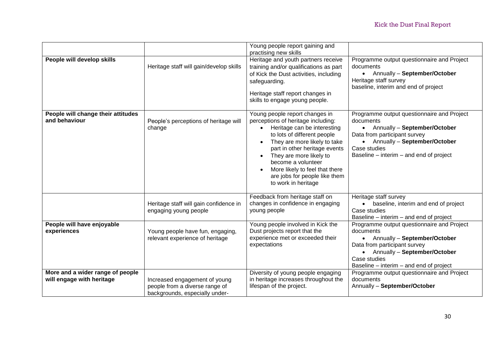|                                                               |                                                                                                   | Young people report gaining and                                                                                                                                                                                                                                                                                                                                          |                                                                                                                                                                                                                        |
|---------------------------------------------------------------|---------------------------------------------------------------------------------------------------|--------------------------------------------------------------------------------------------------------------------------------------------------------------------------------------------------------------------------------------------------------------------------------------------------------------------------------------------------------------------------|------------------------------------------------------------------------------------------------------------------------------------------------------------------------------------------------------------------------|
| People will develop skills                                    | Heritage staff will gain/develop skills                                                           | practising new skills<br>Heritage and youth partners receive<br>training and/or qualifications as part<br>of Kick the Dust activities, including<br>safeguarding.<br>Heritage staff report changes in<br>skills to engage young people.                                                                                                                                  | Programme output questionnaire and Project<br>documents<br>• Annually - September/October<br>Heritage staff survey<br>baseline, interim and end of project                                                             |
| People will change their attitudes<br>and behaviour           | People's perceptions of heritage will<br>change                                                   | Young people report changes in<br>perceptions of heritage including:<br>Heritage can be interesting<br>$\bullet$<br>to lots of different people<br>They are more likely to take<br>part in other heritage events<br>They are more likely to<br>$\bullet$<br>become a volunteer<br>More likely to feel that there<br>are jobs for people like them<br>to work in heritage | Programme output questionnaire and Project<br>documents<br>• Annually - September/October<br>Data from participant survey<br>• Annually - September/October<br>Case studies<br>Baseline – interim – and end of project |
|                                                               | Heritage staff will gain confidence in<br>engaging young people                                   | Feedback from heritage staff on<br>changes in confidence in engaging<br>young people                                                                                                                                                                                                                                                                                     | Heritage staff survey<br>• baseline, interim and end of project<br>Case studies<br>Baseline – interim – and end of project                                                                                             |
| People will have enjoyable<br>experiences                     | Young people have fun, engaging,<br>relevant experience of heritage                               | Young people involved in Kick the<br>Dust projects report that the<br>experience met or exceeded their<br>expectations                                                                                                                                                                                                                                                   | Programme output questionnaire and Project<br>documents<br>• Annually - September/October<br>Data from participant survey<br>• Annually - September/October<br>Case studies<br>Baseline - interim - and end of project |
| More and a wider range of people<br>will engage with heritage | Increased engagement of young<br>people from a diverse range of<br>backgrounds, especially under- | Diversity of young people engaging<br>in heritage increases throughout the<br>lifespan of the project.                                                                                                                                                                                                                                                                   | Programme output questionnaire and Project<br>documents<br>Annually - September/October                                                                                                                                |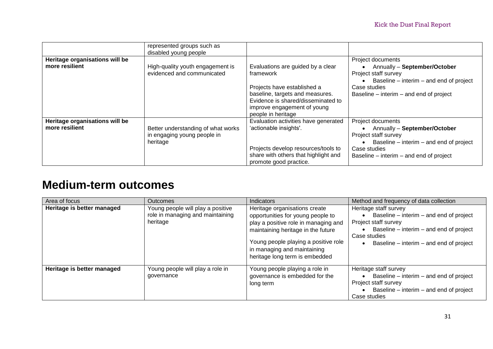|                                                  | represented groups such as<br>disabled young people                           |                                                                                                                                                                                                             |                                                                                                                                                                                 |
|--------------------------------------------------|-------------------------------------------------------------------------------|-------------------------------------------------------------------------------------------------------------------------------------------------------------------------------------------------------------|---------------------------------------------------------------------------------------------------------------------------------------------------------------------------------|
| Heritage organisations will be<br>more resilient | High-quality youth engagement is<br>evidenced and communicated                | Evaluations are guided by a clear<br>framework<br>Projects have established a<br>baseline, targets and measures.<br>Evidence is shared/disseminated to<br>improve engagement of young<br>people in heritage | Project documents<br>Annually - September/October<br>Project staff survey<br>Baseline – interim – and end of project<br>Case studies<br>Baseline – interim – and end of project |
| Heritage organisations will be<br>more resilient | Better understanding of what works<br>in engaging young people in<br>heritage | Evaluation activities have generated<br>'actionable insights'.<br>Projects develop resources/tools to<br>share with others that highlight and<br>promote good practice.                                     | Project documents<br>Annually - September/October<br>Project staff survey<br>Baseline – interim – and end of project<br>Case studies<br>Baseline – interim – and end of project |

### **Medium-term outcomes**

| Area of focus              | <b>Outcomes</b>                                                                   | Indicators                                                                                                                                                                                                                                                | Method and frequency of data collection                                                                                                                                                        |
|----------------------------|-----------------------------------------------------------------------------------|-----------------------------------------------------------------------------------------------------------------------------------------------------------------------------------------------------------------------------------------------------------|------------------------------------------------------------------------------------------------------------------------------------------------------------------------------------------------|
| Heritage is better managed | Young people will play a positive<br>role in managing and maintaining<br>heritage | Heritage organisations create<br>opportunities for young people to<br>play a positive role in managing and<br>maintaining heritage in the future<br>Young people playing a positive role<br>in managing and maintaining<br>heritage long term is embedded | Heritage staff survey<br>Baseline – interim – and end of project<br>Project staff survey<br>Baseline – interim – and end of project<br>Case studies<br>Baseline – interim – and end of project |
| Heritage is better managed | Young people will play a role in<br>governance                                    | Young people playing a role in<br>governance is embedded for the<br>long term                                                                                                                                                                             | Heritage staff survey<br>Baseline – interim – and end of project<br>Project staff survey<br>Baseline – interim – and end of project<br>Case studies                                            |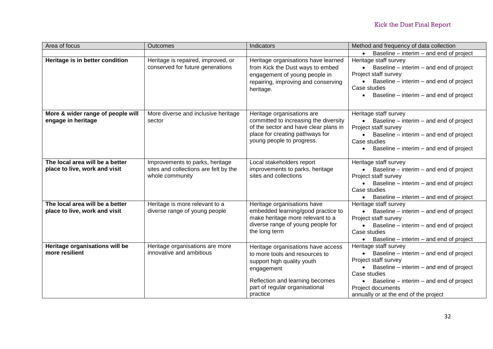| Area of focus                                                    | <b>Outcomes</b>                                                                             | Indicators                                                                                                                                                                                        | Method and frequency of data collection                                                                                                                                                                                                                                  |
|------------------------------------------------------------------|---------------------------------------------------------------------------------------------|---------------------------------------------------------------------------------------------------------------------------------------------------------------------------------------------------|--------------------------------------------------------------------------------------------------------------------------------------------------------------------------------------------------------------------------------------------------------------------------|
|                                                                  |                                                                                             |                                                                                                                                                                                                   | Baseline – interim – and end of project                                                                                                                                                                                                                                  |
| Heritage is in better condition                                  | Heritage is repaired, improved, or<br>conserved for future generations                      | Heritage organisations have learned<br>from Kick the Dust ways to embed<br>engagement of young people in<br>repairing, improving and conserving<br>heritage.                                      | Heritage staff survey<br>$\bullet$ Baseline – interim – and end of project<br>Project staff survey<br>$\bullet$<br>Baseline – interim – and end of project<br>Case studies<br>Baseline – interim – and end of project<br>$\bullet$                                       |
| More & wider range of people will<br>engage in heritage          | More diverse and inclusive heritage<br>sector                                               | Heritage organisations are<br>committed to increasing the diversity<br>of the sector and have clear plans in<br>place for creating pathways for<br>young people to progress.                      | Heritage staff survey<br>$\bullet$ Baseline – interim – and end of project<br>Project staff survey<br>Baseline – interim – and end of project<br>$\bullet$<br>Case studies<br>Baseline – interim – and end of project<br>$\bullet$                                       |
| The local area will be a better<br>place to live, work and visit | Improvements to parks, heritage<br>sites and collections are felt by the<br>whole community | Local stakeholders report<br>improvements to parks, heritage<br>sites and collections                                                                                                             | Heritage staff survey<br>$\bullet$ Baseline – interim – and end of project<br>Project staff survey<br>$\bullet$ Baseline – interim – and end of project<br>Case studies<br>Baseline – interim – and end of project<br>$\bullet$                                          |
| The local area will be a better<br>place to live, work and visit | Heritage is more relevant to a<br>diverse range of young people                             | Heritage organisations have<br>embedded learning/good practice to<br>make heritage more relevant to a<br>diverse range of young people for<br>the long term                                       | Heritage staff survey<br>• Baseline $-$ interim $-$ and end of project<br>Project staff survey<br>$\bullet$<br>Baseline – interim – and end of project<br>Case studies<br>Baseline – interim – and end of project<br>$\bullet$                                           |
| Heritage organisations will be<br>more resilient                 | Heritage organisations are more<br>innovative and ambitious                                 | Heritage organisations have access<br>to more tools and resources to<br>support high quality youth<br>engagement<br>Reflection and learning becomes<br>part of regular organisational<br>practice | Heritage staff survey<br>• Baseline $-$ interim $-$ and end of project<br>Project staff survey<br>• Baseline $-$ interim $-$ and end of project<br>Case studies<br>Baseline – interim – and end of project<br>Project documents<br>annually or at the end of the project |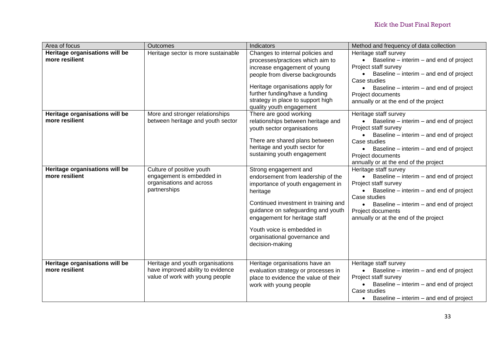| Area of focus                                    | <b>Outcomes</b>                                                                                          | Indicators                                                                                                                                                                                                                                                                                                    | Method and frequency of data collection                                                                                                                                                                                                                                                |
|--------------------------------------------------|----------------------------------------------------------------------------------------------------------|---------------------------------------------------------------------------------------------------------------------------------------------------------------------------------------------------------------------------------------------------------------------------------------------------------------|----------------------------------------------------------------------------------------------------------------------------------------------------------------------------------------------------------------------------------------------------------------------------------------|
| Heritage organisations will be<br>more resilient | Heritage sector is more sustainable                                                                      | Changes to internal policies and<br>processes/practices which aim to<br>increase engagement of young<br>people from diverse backgrounds<br>Heritage organisations apply for<br>further funding/have a funding<br>strategy in place to support high<br>quality youth engagement                                | Heritage staff survey<br>$\bullet$ Baseline – interim – and end of project<br>Project staff survey<br>$\bullet$ Baseline – interim – and end of project<br>Case studies<br>• Baseline $-$ interim $-$ and end of project<br>Project documents<br>annually or at the end of the project |
| Heritage organisations will be<br>more resilient | More and stronger relationships<br>between heritage and youth sector                                     | There are good working<br>relationships between heritage and<br>youth sector organisations<br>There are shared plans between<br>heritage and youth sector for<br>sustaining youth engagement                                                                                                                  | Heritage staff survey<br>Baseline - interim - and end of project<br>Project staff survey<br>Baseline – interim – and end of project<br>Case studies<br>Baseline – interim – and end of project<br>$\bullet$<br>Project documents<br>annually or at the end of the project              |
| Heritage organisations will be<br>more resilient | Culture of positive youth<br>engagement is embedded in<br>organisations and across<br>partnerships       | Strong engagement and<br>endorsement from leadership of the<br>importance of youth engagement in<br>heritage<br>Continued investment in training and<br>guidance on safeguarding and youth<br>engagement for heritage staff<br>Youth voice is embedded in<br>organisational governance and<br>decision-making | Heritage staff survey<br>$\bullet$ Baseline – interim – and end of project<br>Project staff survey<br>Baseline – interim – and end of project<br>Case studies<br>$\bullet$ Baseline – interim – and end of project<br>Project documents<br>annually or at the end of the project       |
| Heritage organisations will be<br>more resilient | Heritage and youth organisations<br>have improved ability to evidence<br>value of work with young people | Heritage organisations have an<br>evaluation strategy or processes in<br>place to evidence the value of their<br>work with young people                                                                                                                                                                       | Heritage staff survey<br>$\bullet$ Baseline – interim – and end of project<br>Project staff survey<br>Baseline – interim – and end of project<br>$\bullet$<br>Case studies<br>• Baseline $-$ interim $-$ and end of project                                                            |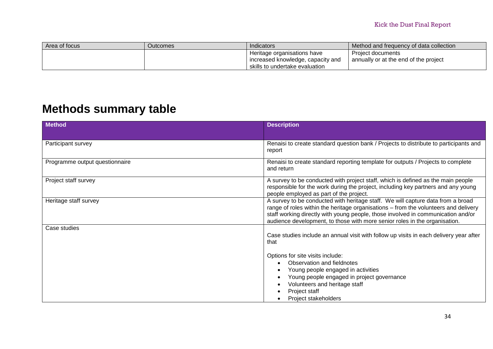| Area of focus | Outcomes | Indicators                        | Method and frequency of data collection |
|---------------|----------|-----------------------------------|-----------------------------------------|
|               |          | Heritage organisations have       | Project documents                       |
|               |          | increased knowledge, capacity and | annually or at the end of the project   |
|               |          | skills to undertake evaluation    |                                         |

# **Methods summary table**

| <b>Method</b>                  | <b>Description</b>                                                                                                                                                                                                                                                                                                                       |
|--------------------------------|------------------------------------------------------------------------------------------------------------------------------------------------------------------------------------------------------------------------------------------------------------------------------------------------------------------------------------------|
|                                |                                                                                                                                                                                                                                                                                                                                          |
| Participant survey             | Renaisi to create standard question bank / Projects to distribute to participants and<br>report                                                                                                                                                                                                                                          |
| Programme output questionnaire | Renaisi to create standard reporting template for outputs / Projects to complete<br>and return                                                                                                                                                                                                                                           |
| Project staff survey           | A survey to be conducted with project staff, which is defined as the main people<br>responsible for the work during the project, including key partners and any young<br>people employed as part of the project.                                                                                                                         |
| Heritage staff survey          | A survey to be conducted with heritage staff. We will capture data from a broad<br>range of roles within the heritage organisations - from the volunteers and delivery<br>staff working directly with young people, those involved in communication and/or<br>audience development, to those with more senior roles in the organisation. |
| Case studies                   | Case studies include an annual visit with follow up visits in each delivery year after<br>that<br>Options for site visits include:<br>Observation and fieldnotes<br>Young people engaged in activities<br>Young people engaged in project governance<br>Volunteers and heritage staff<br>Project staff<br>Project stakeholders           |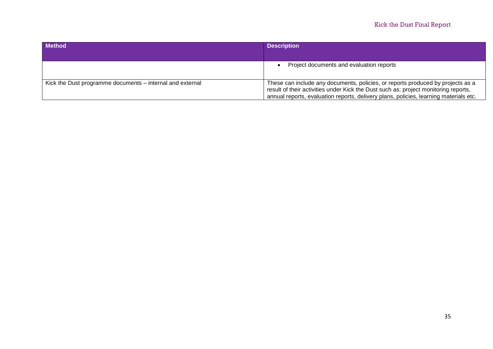| <b>Method</b>                                             | <b>Description</b>                                                                                                                                                                                                                                              |
|-----------------------------------------------------------|-----------------------------------------------------------------------------------------------------------------------------------------------------------------------------------------------------------------------------------------------------------------|
|                                                           |                                                                                                                                                                                                                                                                 |
|                                                           | Project documents and evaluation reports                                                                                                                                                                                                                        |
|                                                           |                                                                                                                                                                                                                                                                 |
| Kick the Dust programme documents – internal and external | These can include any documents, policies, or reports produced by projects as a<br>result of their activities under Kick the Dust such as: project monitoring reports,<br>annual reports, evaluation reports, delivery plans, policies, learning materials etc. |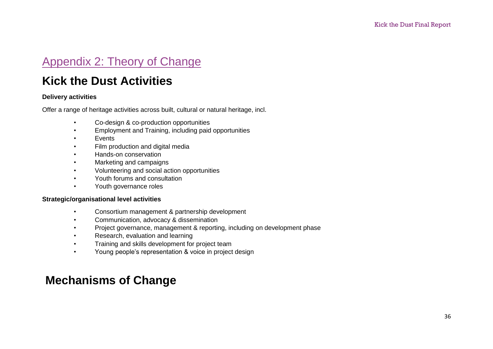## <span id="page-10-0"></span>Appendix 2: Theory of Change

## **Kick the Dust Activities**

#### **Delivery activities**

Offer a range of heritage activities across built, cultural or natural heritage, incl.

- Co-design & co-production opportunities
- Employment and Training, including paid opportunities
- Events
- Film production and digital media
- Hands-on conservation
- Marketing and campaigns
- Volunteering and social action opportunities
- Youth forums and consultation
- Youth governance roles

#### **Strategic/organisational level activities**

- Consortium management & partnership development
- Communication, advocacy & dissemination
- Project governance, management & reporting, including on development phase
- Research, evaluation and learning
- Training and skills development for project team
- Young people's representation & voice in project design

### **Mechanisms of Change**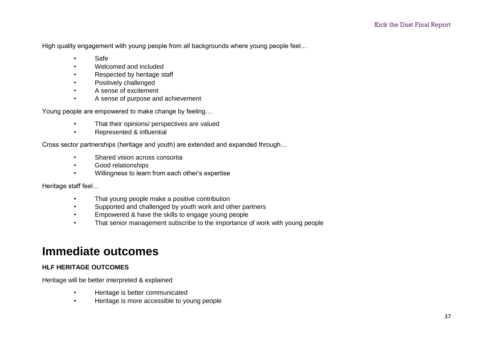High quality engagement with young people from all backgrounds where young people feel…

- Safe
- Welcomed and included
- Respected by heritage staff
- Positively challenged
- A sense of excitement
- A sense of purpose and achievement

Young people are empowered to make change by feeling…

- That their opinions/ perspectives are valued
- Represented & influential

Cross sector partnerships (heritage and youth) are extended and expanded through…

- Shared vision across consortia
- Good relationships
- Willingness to learn from each other's expertise

Heritage staff feel…

- That young people make a positive contribution
- Supported and challenged by youth work and other partners
- Empowered & have the skills to engage young people
- That senior management subscribe to the importance of work with young people

### **Immediate outcomes**

#### **HLF HERITAGE OUTCOMES**

Heritage will be better interpreted & explained

- Heritage is better communicated
- Heritage is more accessible to young people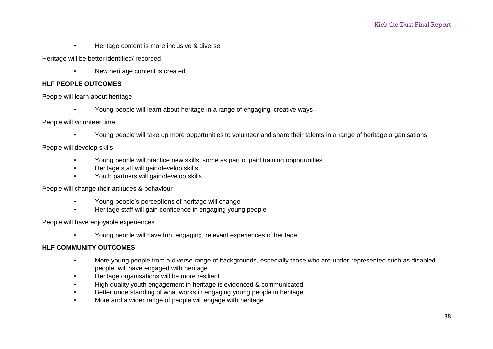• Heritage content is more inclusive & diverse

Heritage will be better identified/ recorded

New heritage content is created

#### **HLF PEOPLE OUTCOMES**

People will learn about heritage

• Young people will learn about heritage in a range of engaging, creative ways

People will volunteer time

• Young people will take up more opportunities to volunteer and share their talents in a range of heritage organisations

People will develop skills

- Young people will practice new skills, some as part of paid training opportunities
- Heritage staff will gain/develop skills
- Youth partners will gain/develop skills

People will change their attitudes & behaviour

- Young people's perceptions of heritage will change
- Heritage staff will gain confidence in engaging young people

People will have enjoyable experiences

• Young people will have fun, engaging, relevant experiences of heritage

#### **HI F COMMUNITY OUTCOMES**

- More young people from a diverse range of backgrounds, especially those who are under-represented such as disabled people, will have engaged with heritage
- Heritage organisations will be more resilient
- High-quality youth engagement in heritage is evidenced & communicated
- Better understanding of what works in engaging young people in heritage
- More and a wider range of people will engage with heritage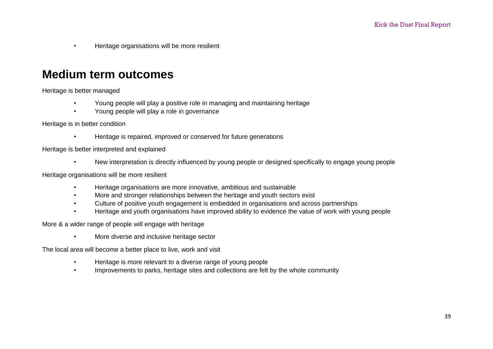• Heritage organisations will be more resilient

### **Medium term outcomes**

Heritage is better managed

- Young people will play a positive role in managing and maintaining heritage
- Young people will play a role in governance

Heritage is in better condition

• Heritage is repaired, improved or conserved for future generations

Heritage is better interpreted and explained

• New interpretation is directly influenced by young people or designed specifically to engage young people

Heritage organisations will be more resilient

- Heritage organisations are more innovative, ambitious and sustainable
- More and stronger relationships between the heritage and youth sectors exist
- Culture of positive youth engagement is embedded in organisations and across partnerships
- Heritage and youth organisations have improved ability to evidence the value of work with young people

More & a wider range of people will engage with heritage

• More diverse and inclusive heritage sector

The local area will become a better place to live, work and visit

- Heritage is more relevant to a diverse range of young people
- Improvements to parks, heritage sites and collections are felt by the whole community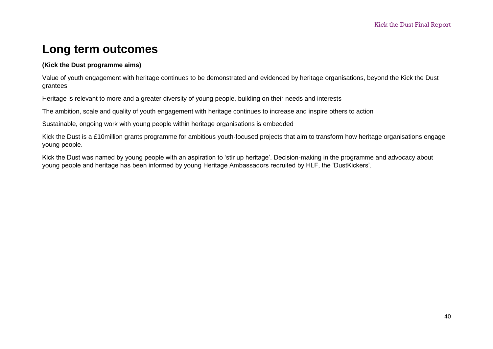## **Long term outcomes**

#### **(Kick the Dust programme aims)**

Value of youth engagement with heritage continues to be demonstrated and evidenced by heritage organisations, beyond the Kick the Dust grantees

Heritage is relevant to more and a greater diversity of young people, building on their needs and interests

The ambition, scale and quality of youth engagement with heritage continues to increase and inspire others to action

Sustainable, ongoing work with young people within heritage organisations is embedded

Kick the Dust is a £10million grants programme for ambitious youth-focused projects that aim to transform how heritage organisations engage young people.

Kick the Dust was named by young people with an aspiration to 'stir up heritage'. Decision-making in the programme and advocacy about young people and heritage has been informed by young Heritage Ambassadors recruited by HLF, the 'DustKickers'.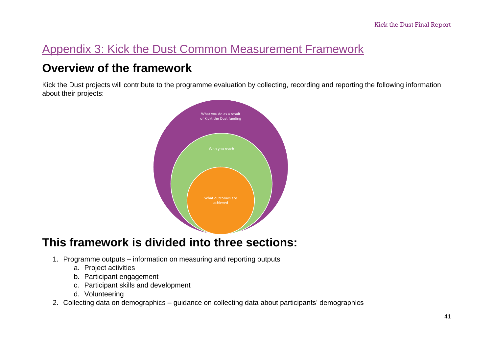## <span id="page-15-0"></span>Appendix 3: Kick the Dust Common Measurement Framework

### **Overview of the framework**

Kick the Dust projects will contribute to the programme evaluation by collecting, recording and reporting the following information about their projects:



## **This framework is divided into three sections:**

- 1. Programme outputs information on measuring and reporting outputs
	- a. Project activities
	- b. Participant engagement
	- c. Participant skills and development
	- d. Volunteering
- 2. Collecting data on demographics guidance on collecting data about participants' demographics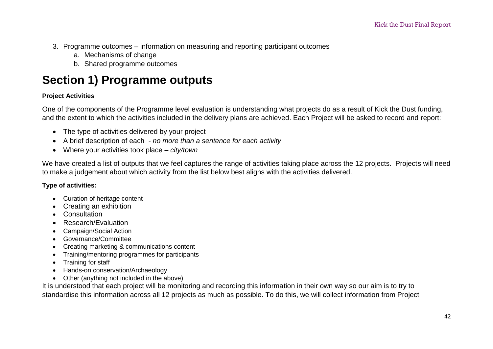- 3. Programme outcomes information on measuring and reporting participant outcomes
	- a. Mechanisms of change
	- b. Shared programme outcomes

## **Section 1) Programme outputs**

#### **Project Activities**

One of the components of the Programme level evaluation is understanding what projects do as a result of Kick the Dust funding, and the extent to which the activities included in the delivery plans are achieved. Each Project will be asked to record and report:

- The type of activities delivered by your project
- A brief description of each *no more than a sentence for each activity*
- Where your activities took place *city/town*

We have created a list of outputs that we feel captures the range of activities taking place across the 12 projects. Projects will need to make a judgement about which activity from the list below best aligns with the activities delivered.

#### **Type of activities:**

- Curation of heritage content
- Creating an exhibition
- **•** Consultation
- Research/Evaluation
- Campaign/Social Action
- Governance/Committee
- Creating marketing & communications content
- Training/mentoring programmes for participants
- Training for staff
- Hands-on conservation/Archaeology
- Other (anything not included in the above)

It is understood that each project will be monitoring and recording this information in their own way so our aim is to try to standardise this information across all 12 projects as much as possible. To do this, we will collect information from Project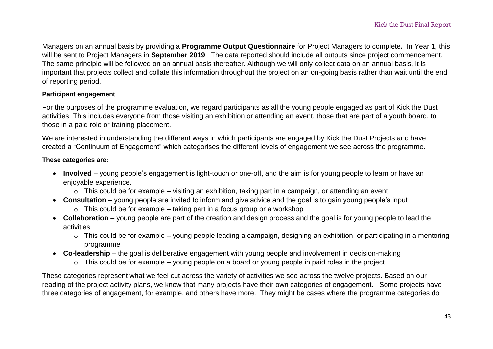Managers on an annual basis by providing a **Programme Output Questionnaire** for Project Managers to complete**.** In Year 1, this will be sent to Project Managers in **September 2019**. The data reported should include all outputs since project commencement. The same principle will be followed on an annual basis thereafter. Although we will only collect data on an annual basis, it is important that projects collect and collate this information throughout the project on an on-going basis rather than wait until the end of reporting period.

#### **Participant engagement**

For the purposes of the programme evaluation, we regard participants as all the young people engaged as part of Kick the Dust activities. This includes everyone from those visiting an exhibition or attending an event, those that are part of a youth board, to those in a paid role or training placement.

We are interested in understanding the different ways in which participants are engaged by Kick the Dust Projects and have created a "Continuum of Engagement" which categorises the different levels of engagement we see across the programme.

#### **These categories are:**

- **Involved**  young people's engagement is light-touch or one-off, and the aim is for young people to learn or have an enjoyable experience.
	- $\circ$  This could be for example visiting an exhibition, taking part in a campaign, or attending an event
- **Consultation**  young people are invited to inform and give advice and the goal is to gain young people's input
	- $\circ$  This could be for example taking part in a focus group or a workshop
- Collaboration young people are part of the creation and design process and the goal is for young people to lead the activities
	- $\circ$  This could be for example young people leading a campaign, designing an exhibition, or participating in a mentoring programme
- **Co-leadership**  the goal is deliberative engagement with young people and involvement in decision-making
	- $\circ$  This could be for example young people on a board or young people in paid roles in the project

These categories represent what we feel cut across the variety of activities we see across the twelve projects. Based on our reading of the project activity plans, we know that many projects have their own categories of engagement. Some projects have three categories of engagement, for example, and others have more. They might be cases where the programme categories do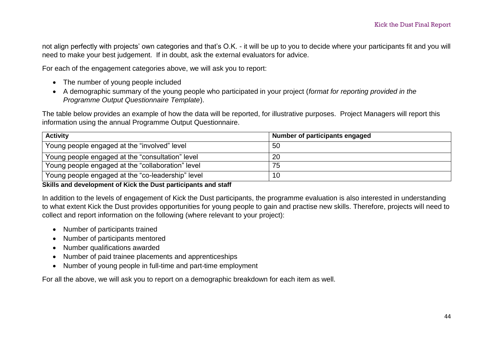not align perfectly with projects' own categories and that's O.K. - it will be up to you to decide where your participants fit and you will need to make your best judgement. If in doubt, ask the external evaluators for advice.

For each of the engagement categories above, we will ask you to report:

- The number of young people included
- A demographic summary of the young people who participated in your project (*format for reporting provided in the Programme Output Questionnaire Template*).

The table below provides an example of how the data will be reported, for illustrative purposes. Project Managers will report this information using the annual Programme Output Questionnaire.

| <b>Activity</b>                                   | Number of participants engaged |
|---------------------------------------------------|--------------------------------|
| Young people engaged at the "involved" level      | 50                             |
| Young people engaged at the "consultation" level  | 20                             |
| Young people engaged at the "collaboration" level | 75                             |
| Young people engaged at the "co-leadership" level | 10                             |

**Skills and development of Kick the Dust participants and staff**

In addition to the levels of engagement of Kick the Dust participants, the programme evaluation is also interested in understanding to what extent Kick the Dust provides opportunities for young people to gain and practise new skills. Therefore, projects will need to collect and report information on the following (where relevant to your project):

- Number of participants trained
- Number of participants mentored
- Number qualifications awarded
- Number of paid trainee placements and apprenticeships
- Number of young people in full-time and part-time employment

For all the above, we will ask you to report on a demographic breakdown for each item as well.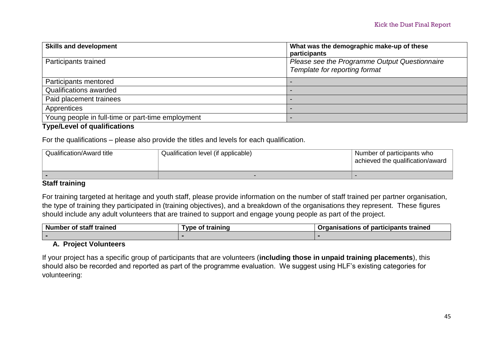| <b>Skills and development</b>                     | What was the demographic make-up of these<br>participants                      |
|---------------------------------------------------|--------------------------------------------------------------------------------|
| Participants trained                              | Please see the Programme Output Questionnaire<br>Template for reporting format |
| Participants mentored                             |                                                                                |
| Qualifications awarded                            |                                                                                |
| Paid placement trainees                           |                                                                                |
| Apprentices                                       |                                                                                |
| Young people in full-time or part-time employment |                                                                                |

#### **Type/Level of qualifications**

For the qualifications – please also provide the titles and levels for each qualification.

| Qualification/Award title | Qualification level (if applicable) | Number of participants who<br>achieved the qualification/award |
|---------------------------|-------------------------------------|----------------------------------------------------------------|
|                           |                                     |                                                                |

#### **Staff training**

For training targeted at heritage and youth staff, please provide information on the number of staff trained per partner organisation, the type of training they participated in (training objectives), and a breakdown of the organisations they represent. These figures should include any adult volunteers that are trained to support and engage young people as part of the project.

| --<br>trained<br>Number<br>ˈstatɪ<br>лг | Tvne<br>r traininc<br>ОТ | Organisations<br>trained<br><b>participants</b><br>nt<br><b>canisations</b> |
|-----------------------------------------|--------------------------|-----------------------------------------------------------------------------|
|                                         |                          |                                                                             |

#### **A. Project Volunteers**

If your project has a specific group of participants that are volunteers (**including those in unpaid training placements**), this should also be recorded and reported as part of the programme evaluation. We suggest using HLF's existing categories for volunteering: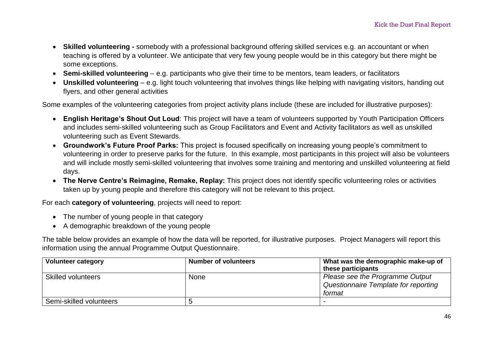- **Skilled volunteering -** somebody with a professional background offering skilled services e.g. an accountant or when teaching is offered by a volunteer. We anticipate that very few young people would be in this category but there might be some exceptions.
- **Semi-skilled volunteering** e.g. participants who give their time to be mentors, team leaders, or facilitators
- **Unskilled volunteering** e.g. light touch volunteering that involves things like helping with navigating visitors, handing out flyers, and other general activities

Some examples of the volunteering categories from project activity plans include (these are included for illustrative purposes):

- **English Heritage's Shout Out Loud**: This project will have a team of volunteers supported by Youth Participation Officers and includes semi-skilled volunteering such as Group Facilitators and Event and Activity facilitators as well as unskilled volunteering such as Event Stewards.
- **Groundwork's Future Proof Parks:** This project is focused specifically on increasing young people's commitment to volunteering in order to preserve parks for the future. In this example, most participants in this project will also be volunteers and will include mostly semi-skilled volunteering that involves some training and mentoring and unskilled volunteering at field days.
- **The Nerve Centre's Reimagine, Remake, Replay:** This project does not identify specific volunteering roles or activities taken up by young people and therefore this category will not be relevant to this project.

For each **category of volunteering**, projects will need to report:

- The number of young people in that category
- A demographic breakdown of the young people

The table below provides an example of how the data will be reported, for illustrative purposes. Project Managers will report this information using the annual Programme Output Questionnaire.

| <b>Volunteer category</b> | <b>Number of volunteers</b> | What was the demographic make-up of  |
|---------------------------|-----------------------------|--------------------------------------|
|                           |                             | these participants                   |
| <b>Skilled volunteers</b> | None                        | Please see the Programme Output      |
|                           |                             | Questionnaire Template for reporting |
|                           |                             | format                               |
| Semi-skilled volunteers   |                             |                                      |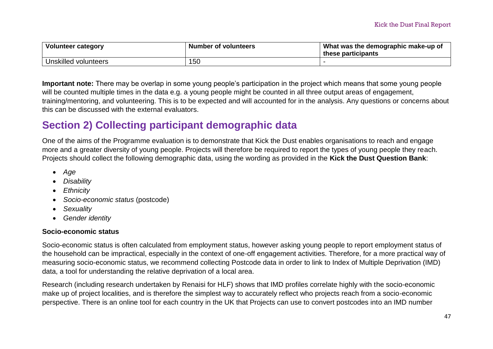| <b>Volunteer category</b>   | <b>Number of volunteers</b> | What was the demographic make-up of<br>these participants |
|-----------------------------|-----------------------------|-----------------------------------------------------------|
| <b>Unskilled volunteers</b> | 150                         |                                                           |

**Important note:** There may be overlap in some young people's participation in the project which means that some young people will be counted multiple times in the data e.g. a young people might be counted in all three output areas of engagement, training/mentoring, and volunteering. This is to be expected and will accounted for in the analysis. Any questions or concerns about this can be discussed with the external evaluators.

### **Section 2) Collecting participant demographic data**

One of the aims of the Programme evaluation is to demonstrate that Kick the Dust enables organisations to reach and engage more and a greater diversity of young people. Projects will therefore be required to report the types of young people they reach. Projects should collect the following demographic data, using the wording as provided in the **Kick the Dust Question Bank**:

- *Age*
- *Disability*
- *Ethnicity*
- *Socio-economic status* (postcode)
- *Sexuality*
- *Gender identity*

#### **Socio-economic status**

Socio-economic status is often calculated from employment status, however asking young people to report employment status of the household can be impractical, especially in the context of one-off engagement activities. Therefore, for a more practical way of measuring socio-economic status, we recommend collecting Postcode data in order to link to Index of Multiple Deprivation (IMD) data, a tool for understanding the relative deprivation of a local area.

Research (including research undertaken by Renaisi for HLF) shows that IMD profiles correlate highly with the socio-economic make up of project localities, and is therefore the simplest way to accurately reflect who projects reach from a socio-economic perspective. There is an online tool for each country in the UK that Projects can use to convert postcodes into an IMD number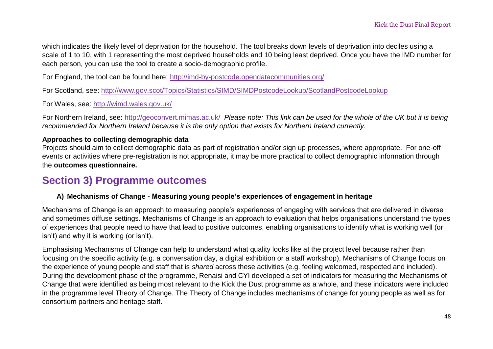which indicates the likely level of deprivation for the household. The tool breaks down levels of deprivation into deciles using a scale of 1 to 10, with 1 representing the most deprived households and 10 being least deprived. Once you have the IMD number for each person, you can use the tool to create a socio-demographic profile.

For England, the tool can be found here:<http://imd-by-postcode.opendatacommunities.org/>

For Scotland, see:<http://www.gov.scot/Topics/Statistics/SIMD/SIMDPostcodeLookup/ScotlandPostcodeLookup>

For Wales, see:<http://wimd.wales.gov.uk/>

For Northern Ireland, see:<http://geoconvert.mimas.ac.uk/>*Please note: This link can be used for the whole of the UK but it is being recommended for Northern Ireland because it is the only option that exists for Northern Ireland currently.*

#### **Approaches to collecting demographic data**

Projects should aim to collect demographic data as part of registration and/or sign up processes, where appropriate. For one-off events or activities where pre-registration is not appropriate, it may be more practical to collect demographic information through the **outcomes questionnaire.**

### **Section 3) Programme outcomes**

#### **A) Mechanisms of Change - Measuring young people's experiences of engagement in heritage**

Mechanisms of Change is an approach to measuring people's experiences of engaging with services that are delivered in diverse and sometimes diffuse settings. Mechanisms of Change is an approach to evaluation that helps organisations understand the types of experiences that people need to have that lead to positive outcomes, enabling organisations to identify what is working well (or isn't) and why it is working (or isn't).

Emphasising Mechanisms of Change can help to understand what quality looks like at the project level because rather than focusing on the specific activity (e.g. a conversation day, a digital exhibition or a staff workshop), Mechanisms of Change focus on the experience of young people and staff that is *shared* across these activities (e.g. feeling welcomed, respected and included). During the development phase of the programme, Renaisi and CYI developed a set of indicators for measuring the Mechanisms of Change that were identified as being most relevant to the Kick the Dust programme as a whole, and these indicators were included in the programme level Theory of Change. The Theory of Change includes mechanisms of change for young people as well as for consortium partners and heritage staff.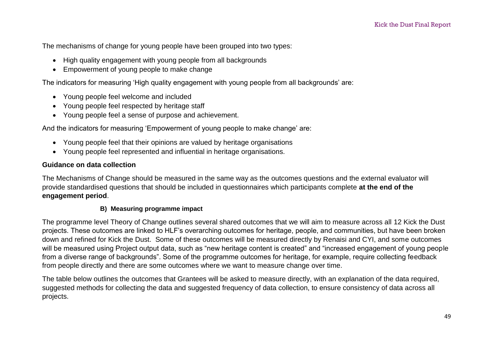The mechanisms of change for young people have been grouped into two types:

- High quality engagement with young people from all backgrounds
- Empowerment of young people to make change

The indicators for measuring 'High quality engagement with young people from all backgrounds' are:

- Young people feel welcome and included
- Young people feel respected by heritage staff
- Young people feel a sense of purpose and achievement.

And the indicators for measuring 'Empowerment of young people to make change' are:

- Young people feel that their opinions are valued by heritage organisations
- Young people feel represented and influential in heritage organisations.

#### **Guidance on data collection**

The Mechanisms of Change should be measured in the same way as the outcomes questions and the external evaluator will provide standardised questions that should be included in questionnaires which participants complete **at the end of the engagement period**.

#### **B) Measuring programme impact**

The programme level Theory of Change outlines several shared outcomes that we will aim to measure across all 12 Kick the Dust projects. These outcomes are linked to HLF's overarching outcomes for heritage, people, and communities, but have been broken down and refined for Kick the Dust. Some of these outcomes will be measured directly by Renaisi and CYI, and some outcomes will be measured using Project output data, such as "new heritage content is created" and "increased engagement of young people from a diverse range of backgrounds". Some of the programme outcomes for heritage, for example, require collecting feedback from people directly and there are some outcomes where we want to measure change over time.

The table below outlines the outcomes that Grantees will be asked to measure directly, with an explanation of the data required, suggested methods for collecting the data and suggested frequency of data collection, to ensure consistency of data across all projects.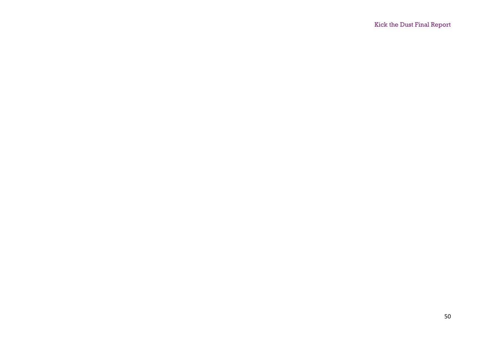Kick the Dust Final Report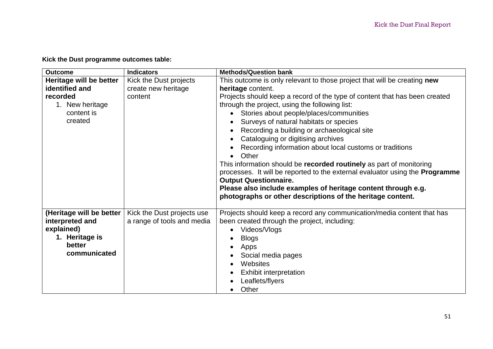#### **Kick the Dust programme outcomes table:**

| <b>Outcome</b>           | <b>Indicators</b>          | <b>Methods/Question bank</b>                                                 |
|--------------------------|----------------------------|------------------------------------------------------------------------------|
| Heritage will be better  | Kick the Dust projects     | This outcome is only relevant to those project that will be creating new     |
| identified and           | create new heritage        | heritage content.                                                            |
| recorded                 | content                    | Projects should keep a record of the type of content that has been created   |
| 1. New heritage          |                            | through the project, using the following list:                               |
| content is               |                            | Stories about people/places/communities<br>$\bullet$                         |
| created                  |                            | Surveys of natural habitats or species                                       |
|                          |                            | Recording a building or archaeological site                                  |
|                          |                            | Cataloguing or digitising archives                                           |
|                          |                            | Recording information about local customs or traditions                      |
|                          |                            | Other<br>$\bullet$                                                           |
|                          |                            | This information should be recorded routinely as part of monitoring          |
|                          |                            | processes. It will be reported to the external evaluator using the Programme |
|                          |                            | <b>Output Questionnaire.</b>                                                 |
|                          |                            | Please also include examples of heritage content through e.g.                |
|                          |                            | photographs or other descriptions of the heritage content.                   |
|                          |                            |                                                                              |
| (Heritage will be better | Kick the Dust projects use | Projects should keep a record any communication/media content that has       |
| interpreted and          | a range of tools and media | been created through the project, including:                                 |
| explained)               |                            | Videos/Vlogs                                                                 |
| 1. Heritage is           |                            | <b>Blogs</b><br>$\bullet$                                                    |
| better                   |                            | Apps<br>$\bullet$                                                            |
| communicated             |                            | Social media pages                                                           |
|                          |                            | Websites                                                                     |
|                          |                            | <b>Exhibit interpretation</b>                                                |
|                          |                            | Leaflets/flyers                                                              |
|                          |                            | Other<br>$\bullet$                                                           |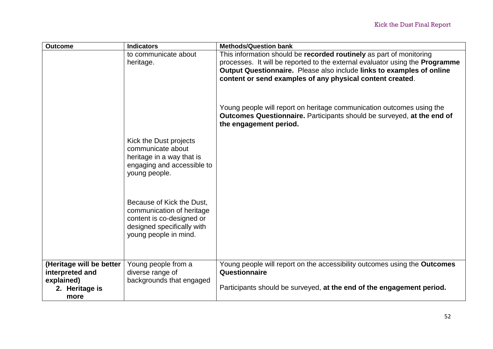| <b>Outcome</b>           | <b>Indicators</b>                                                                                                                          | <b>Methods/Question bank</b>                                                                                                                                              |
|--------------------------|--------------------------------------------------------------------------------------------------------------------------------------------|---------------------------------------------------------------------------------------------------------------------------------------------------------------------------|
|                          | to communicate about<br>heritage.                                                                                                          | This information should be recorded routinely as part of monitoring<br>processes. It will be reported to the external evaluator using the Programme                       |
|                          |                                                                                                                                            | Output Questionnaire. Please also include links to examples of online                                                                                                     |
|                          |                                                                                                                                            | content or send examples of any physical content created.                                                                                                                 |
|                          |                                                                                                                                            |                                                                                                                                                                           |
|                          |                                                                                                                                            | Young people will report on heritage communication outcomes using the<br>Outcomes Questionnaire. Participants should be surveyed, at the end of<br>the engagement period. |
|                          | Kick the Dust projects<br>communicate about<br>heritage in a way that is<br>engaging and accessible to<br>young people.                    |                                                                                                                                                                           |
|                          | Because of Kick the Dust,<br>communication of heritage<br>content is co-designed or<br>designed specifically with<br>young people in mind. |                                                                                                                                                                           |
| (Heritage will be better | Young people from a                                                                                                                        | Young people will report on the accessibility outcomes using the Outcomes                                                                                                 |
| interpreted and          | diverse range of                                                                                                                           | Questionnaire                                                                                                                                                             |
| explained)               | backgrounds that engaged                                                                                                                   |                                                                                                                                                                           |
| 2. Heritage is<br>more   |                                                                                                                                            | Participants should be surveyed, at the end of the engagement period.                                                                                                     |
|                          |                                                                                                                                            |                                                                                                                                                                           |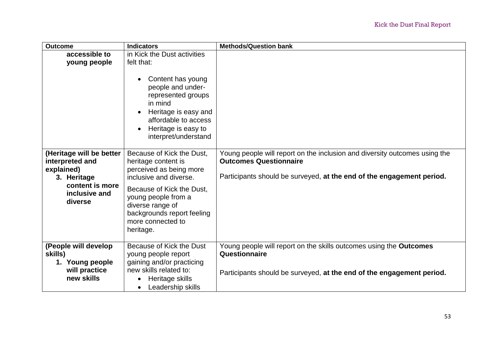| <b>Outcome</b>                              | <b>Indicators</b>                                                                                                                                                      | <b>Methods/Question bank</b>                                                                                |
|---------------------------------------------|------------------------------------------------------------------------------------------------------------------------------------------------------------------------|-------------------------------------------------------------------------------------------------------------|
| accessible to                               | in Kick the Dust activities                                                                                                                                            |                                                                                                             |
| young people                                | felt that:                                                                                                                                                             |                                                                                                             |
|                                             | Content has young<br>people and under-<br>represented groups<br>in mind<br>Heritage is easy and<br>affordable to access<br>Heritage is easy to<br>interpret/understand |                                                                                                             |
| (Heritage will be better<br>interpreted and | Because of Kick the Dust.<br>heritage content is                                                                                                                       | Young people will report on the inclusion and diversity outcomes using the<br><b>Outcomes Questionnaire</b> |
| explained)                                  | perceived as being more                                                                                                                                                |                                                                                                             |
| 3. Heritage                                 | inclusive and diverse.                                                                                                                                                 | Participants should be surveyed, at the end of the engagement period.                                       |
| content is more<br>inclusive and<br>diverse | Because of Kick the Dust,<br>young people from a<br>diverse range of<br>backgrounds report feeling<br>more connected to<br>heritage.                                   |                                                                                                             |
| (People will develop                        | Because of Kick the Dust                                                                                                                                               | Young people will report on the skills outcomes using the <b>Outcomes</b>                                   |
| skills)                                     | young people report                                                                                                                                                    | Questionnaire                                                                                               |
| 1. Young people                             | gaining and/or practicing                                                                                                                                              |                                                                                                             |
| will practice                               | new skills related to:                                                                                                                                                 | Participants should be surveyed, at the end of the engagement period.                                       |
| new skills                                  | Heritage skills<br>Leadership skills<br>$\bullet$                                                                                                                      |                                                                                                             |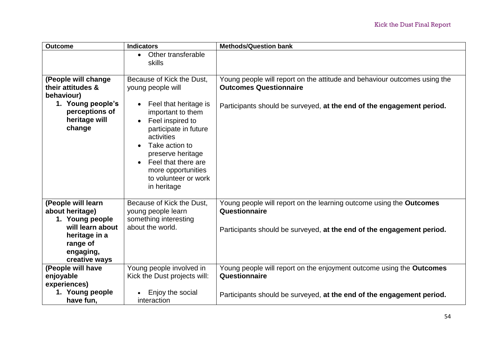| <b>Outcome</b>                                                                                                                          | <b>Indicators</b>                                                                                                                                                                                                                                                                               | <b>Methods/Question bank</b>                                                                                                                                                        |
|-----------------------------------------------------------------------------------------------------------------------------------------|-------------------------------------------------------------------------------------------------------------------------------------------------------------------------------------------------------------------------------------------------------------------------------------------------|-------------------------------------------------------------------------------------------------------------------------------------------------------------------------------------|
|                                                                                                                                         | • Other transferable<br><b>skills</b>                                                                                                                                                                                                                                                           |                                                                                                                                                                                     |
| (People will change<br>their attitudes &<br>behaviour)<br>1. Young people's<br>perceptions of<br>heritage will<br>change                | Because of Kick the Dust,<br>young people will<br>Feel that heritage is<br>important to them<br>Feel inspired to<br>participate in future<br>activities<br>Take action to<br>preserve heritage<br>Feel that there are<br>$\bullet$<br>more opportunities<br>to volunteer or work<br>in heritage | Young people will report on the attitude and behaviour outcomes using the<br><b>Outcomes Questionnaire</b><br>Participants should be surveyed, at the end of the engagement period. |
| (People will learn<br>about heritage)<br>1. Young people<br>will learn about<br>heritage in a<br>range of<br>engaging,<br>creative ways | Because of Kick the Dust,<br>young people learn<br>something interesting<br>about the world.                                                                                                                                                                                                    | Young people will report on the learning outcome using the Outcomes<br>Questionnaire<br>Participants should be surveyed, at the end of the engagement period.                       |
| (People will have<br>enjoyable<br>experiences)                                                                                          | Young people involved in<br>Kick the Dust projects will:                                                                                                                                                                                                                                        | Young people will report on the enjoyment outcome using the Outcomes<br>Questionnaire                                                                                               |
| 1. Young people<br>have fun,                                                                                                            | Enjoy the social<br>interaction                                                                                                                                                                                                                                                                 | Participants should be surveyed, at the end of the engagement period.                                                                                                               |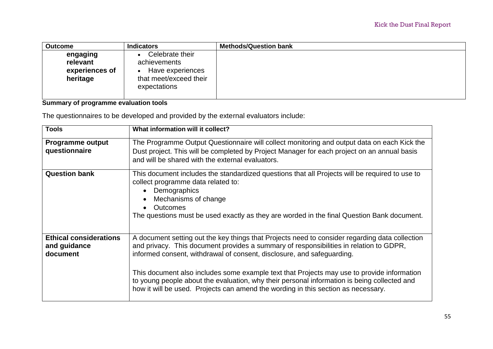| <b>Outcome</b>                                     | <b>Indicators</b>                                                                             | <b>Methods/Question bank</b> |
|----------------------------------------------------|-----------------------------------------------------------------------------------------------|------------------------------|
| engaging<br>relevant<br>experiences of<br>heritage | Celebrate their<br>achievements<br>Have experiences<br>that meet/exceed their<br>expectations |                              |

**Summary of programme evaluation tools**

The questionnaires to be developed and provided by the external evaluators include:

| <b>Tools</b>                                              | What information will it collect?                                                                                                                                                                                                                                                                                                                                                                                                                                                                                                                    |
|-----------------------------------------------------------|------------------------------------------------------------------------------------------------------------------------------------------------------------------------------------------------------------------------------------------------------------------------------------------------------------------------------------------------------------------------------------------------------------------------------------------------------------------------------------------------------------------------------------------------------|
| <b>Programme output</b><br>questionnaire                  | The Programme Output Questionnaire will collect monitoring and output data on each Kick the<br>Dust project. This will be completed by Project Manager for each project on an annual basis<br>and will be shared with the external evaluators.                                                                                                                                                                                                                                                                                                       |
| <b>Question bank</b>                                      | This document includes the standardized questions that all Projects will be required to use to<br>collect programme data related to:<br>Demographics<br>Mechanisms of change<br><b>Outcomes</b><br>The questions must be used exactly as they are worded in the final Question Bank document.                                                                                                                                                                                                                                                        |
| <b>Ethical considerations</b><br>and guidance<br>document | A document setting out the key things that Projects need to consider regarding data collection<br>and privacy. This document provides a summary of responsibilities in relation to GDPR,<br>informed consent, withdrawal of consent, disclosure, and safeguarding.<br>This document also includes some example text that Projects may use to provide information<br>to young people about the evaluation, why their personal information is being collected and<br>how it will be used. Projects can amend the wording in this section as necessary. |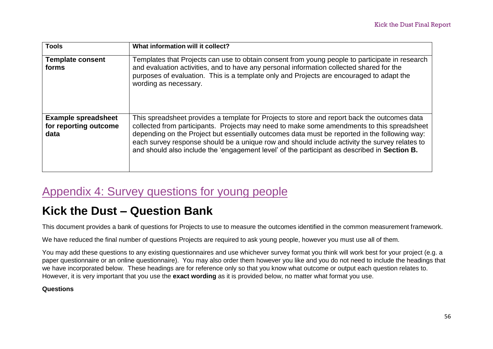| <b>Tools</b>                                                | What information will it collect?                                                                                                                                                                                                                                                                                                                                                                                                                                                            |
|-------------------------------------------------------------|----------------------------------------------------------------------------------------------------------------------------------------------------------------------------------------------------------------------------------------------------------------------------------------------------------------------------------------------------------------------------------------------------------------------------------------------------------------------------------------------|
| <b>Template consent</b><br>forms                            | Templates that Projects can use to obtain consent from young people to participate in research<br>and evaluation activities, and to have any personal information collected shared for the<br>purposes of evaluation. This is a template only and Projects are encouraged to adapt the<br>wording as necessary.                                                                                                                                                                              |
| <b>Example spreadsheet</b><br>for reporting outcome<br>data | This spreadsheet provides a template for Projects to store and report back the outcomes data<br>collected from participants. Projects may need to make some amendments to this spreadsheet<br>depending on the Project but essentially outcomes data must be reported in the following way:<br>each survey response should be a unique row and should include activity the survey relates to<br>and should also include the 'engagement level' of the participant as described in Section B. |

### <span id="page-30-0"></span>Appendix 4: Survey questions for young people

### **Kick the Dust – Question Bank**

This document provides a bank of questions for Projects to use to measure the outcomes identified in the common measurement framework.

We have reduced the final number of questions Projects are required to ask young people, however you must use all of them.

You may add these questions to any existing questionnaires and use whichever survey format you think will work best for your project (e.g. a paper questionnaire or an online questionnaire). You may also order them however you like and you do not need to include the headings that we have incorporated below. These headings are for reference only so that you know what outcome or output each question relates to. However, it is very important that you use the **exact wording** as it is provided below, no matter what format you use.

#### **Questions**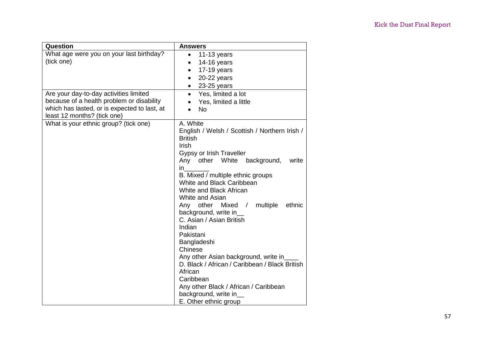| Question                                                                    | <b>Answers</b>                                            |
|-----------------------------------------------------------------------------|-----------------------------------------------------------|
| What age were you on your last birthday?                                    | $11-13$ years<br>$\bullet$                                |
| (tick one)                                                                  | 14-16 years                                               |
|                                                                             | 17-19 years                                               |
|                                                                             | 20-22 years                                               |
|                                                                             | $23-25$ years<br>$\bullet$                                |
| Are your day-to-day activities limited                                      | Yes, limited a lot<br>$\bullet$                           |
| because of a health problem or disability                                   | Yes, limited a little                                     |
| which has lasted, or is expected to last, at<br>least 12 months? (tick one) | <b>No</b>                                                 |
| What is your ethnic group? (tick one)                                       | A. White                                                  |
|                                                                             | English / Welsh / Scottish / Northern Irish /             |
|                                                                             | <b>British</b>                                            |
|                                                                             | <b>Irish</b>                                              |
|                                                                             | Gypsy or Irish Traveller                                  |
|                                                                             | other White<br>Any<br>background,<br>write                |
|                                                                             | in<br>B. Mixed / multiple ethnic groups                   |
|                                                                             | White and Black Caribbean                                 |
|                                                                             | White and Black African                                   |
|                                                                             | White and Asian                                           |
|                                                                             | other<br>multiple<br>ethnic<br>Any<br>Mixed /             |
|                                                                             | background, write in                                      |
|                                                                             | C. Asian / Asian British                                  |
|                                                                             | Indian                                                    |
|                                                                             | Pakistani                                                 |
|                                                                             | Bangladeshi                                               |
|                                                                             | Chinese                                                   |
|                                                                             | Any other Asian background, write in                      |
|                                                                             | D. Black / African / Caribbean / Black British<br>African |
|                                                                             | Caribbean                                                 |
|                                                                             | Any other Black / African / Caribbean                     |
|                                                                             | background, write in_                                     |
|                                                                             | E. Other ethnic group                                     |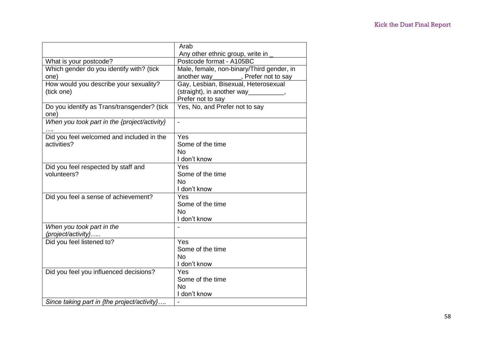|                                                     | Arab                                        |
|-----------------------------------------------------|---------------------------------------------|
|                                                     | Any other ethnic group, write in            |
| What is your postcode?                              | Postcode format - A105BC                    |
| Which gender do you identify with? (tick            | Male, female, non-binary/Third gender, in   |
| one)                                                | _, Prefer not to say<br>another way________ |
| How would you describe your sexuality?              | Gay, Lesbian, Bisexual, Heterosexual        |
| (tick one)                                          | (straight), in another way___________,      |
|                                                     | Prefer not to say                           |
| Do you identify as Trans/transgender? (tick<br>one) | Yes, No, and Prefer not to say              |
| When you took part in the {project/activity}        |                                             |
| Did you feel welcomed and included in the           | Yes                                         |
| activities?                                         | Some of the time                            |
|                                                     | No                                          |
|                                                     | I don't know                                |
| Did you feel respected by staff and                 | Yes                                         |
| volunteers?                                         | Some of the time                            |
|                                                     | <b>No</b>                                   |
|                                                     | I don't know                                |
| Did you feel a sense of achievement?                | Yes                                         |
|                                                     | Some of the time                            |
|                                                     | <b>No</b>                                   |
|                                                     | I don't know                                |
| When you took part in the                           |                                             |
| {project/activity}                                  |                                             |
| Did you feel listened to?                           | Yes                                         |
|                                                     | Some of the time                            |
|                                                     | No                                          |
|                                                     | I don't know                                |
| Did you feel you influenced decisions?              | Yes                                         |
|                                                     | Some of the time                            |
|                                                     | No                                          |
|                                                     | I don't know                                |
| Since taking part in {the project/activity}         |                                             |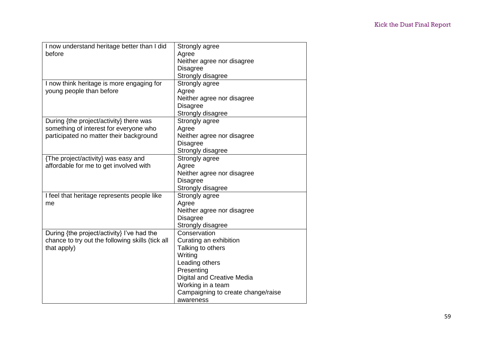| I now understand heritage better than I did      | Strongly agree                     |
|--------------------------------------------------|------------------------------------|
| before                                           | Agree                              |
|                                                  | Neither agree nor disagree         |
|                                                  | <b>Disagree</b>                    |
|                                                  | Strongly disagree                  |
| I now think heritage is more engaging for        | Strongly agree                     |
| young people than before                         | Agree                              |
|                                                  | Neither agree nor disagree         |
|                                                  | <b>Disagree</b>                    |
|                                                  | Strongly disagree                  |
| During {the project/activity} there was          | Strongly agree                     |
| something of interest for everyone who           | Agree                              |
| participated no matter their background          | Neither agree nor disagree         |
|                                                  | <b>Disagree</b>                    |
|                                                  | Strongly disagree                  |
| {The project/activity} was easy and              | Strongly agree                     |
| affordable for me to get involved with           | Agree                              |
|                                                  | Neither agree nor disagree         |
|                                                  | <b>Disagree</b>                    |
|                                                  | Strongly disagree                  |
| I feel that heritage represents people like      | Strongly agree                     |
| me                                               | Agree                              |
|                                                  | Neither agree nor disagree         |
|                                                  | <b>Disagree</b>                    |
|                                                  | Strongly disagree                  |
| During {the project/activity} I've had the       | Conservation                       |
| chance to try out the following skills (tick all | Curating an exhibition             |
| that apply)                                      | Talking to others                  |
|                                                  | Writing                            |
|                                                  | Leading others                     |
|                                                  | Presenting                         |
|                                                  | Digital and Creative Media         |
|                                                  | Working in a team                  |
|                                                  | Campaigning to create change/raise |
|                                                  | awareness                          |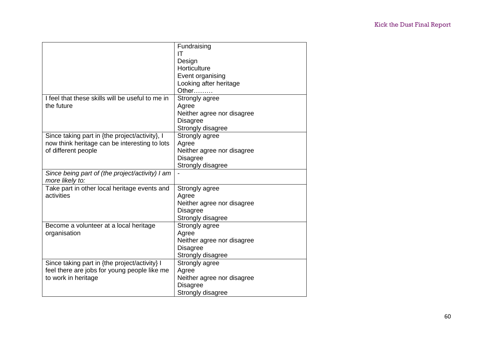|                                                  | Fundraising                          |
|--------------------------------------------------|--------------------------------------|
|                                                  | ΙT                                   |
|                                                  | Design                               |
|                                                  | Horticulture                         |
|                                                  | Event organising                     |
|                                                  | Looking after heritage               |
|                                                  | Other                                |
| I feel that these skills will be useful to me in | Strongly agree                       |
| the future                                       | Agree                                |
|                                                  | Neither agree nor disagree           |
|                                                  | <b>Disagree</b>                      |
|                                                  | Strongly disagree                    |
| Since taking part in {the project/activity}, I   | Strongly agree                       |
| now think heritage can be interesting to lots    | Agree                                |
| of different people                              | Neither agree nor disagree           |
|                                                  | <b>Disagree</b>                      |
|                                                  | Strongly disagree                    |
| Since being part of (the project/activity) I am  |                                      |
| more likely to:                                  |                                      |
| Take part in other local heritage events and     | Strongly agree                       |
| activities                                       | Agree                                |
|                                                  | Neither agree nor disagree           |
|                                                  | <b>Disagree</b>                      |
|                                                  | Strongly disagree                    |
| Become a volunteer at a local heritage           | Strongly agree                       |
| organisation                                     | Agree                                |
|                                                  | Neither agree nor disagree           |
|                                                  | <b>Disagree</b>                      |
|                                                  | Strongly disagree                    |
| Since taking part in {the project/activity} I    | Strongly agree                       |
| feel there are jobs for young people like me     | Agree                                |
| to work in heritage                              | Neither agree nor disagree           |
|                                                  | <b>Disagree</b><br>Strongly disagree |
|                                                  |                                      |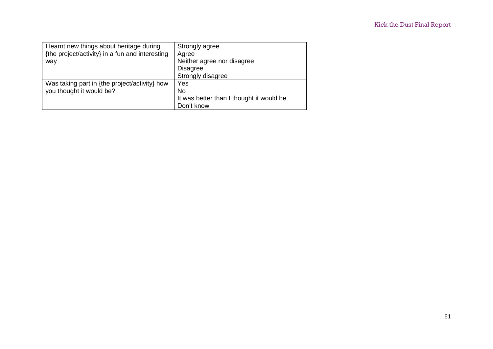| I learnt new things about heritage during       | Strongly agree                           |
|-------------------------------------------------|------------------------------------------|
| {the project/activity} in a fun and interesting | Agree                                    |
| way                                             | Neither agree nor disagree               |
|                                                 | <b>Disagree</b>                          |
|                                                 | Strongly disagree                        |
| Was taking part in {the project/activity} how   | Yes                                      |
| you thought it would be?                        | No                                       |
|                                                 | It was better than I thought it would be |
|                                                 | Don't know                               |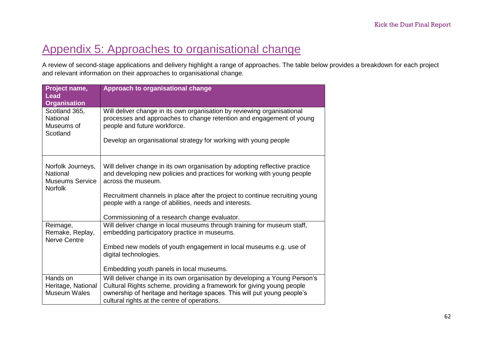### <span id="page-36-0"></span>Appendix 5: Approaches to organisational change

A review of second-stage applications and delivery highlight a range of approaches. The table below provides a breakdown for each project and relevant information on their approaches to organisational change.

| Project name,<br><b>Lead</b><br><b>Organisation</b>                              | Approach to organisational change                                                                                                                                                                                                                                              |
|----------------------------------------------------------------------------------|--------------------------------------------------------------------------------------------------------------------------------------------------------------------------------------------------------------------------------------------------------------------------------|
| Scotland 365,<br>National<br>Museums of<br>Scotland                              | Will deliver change in its own organisation by reviewing organisational<br>processes and approaches to change retention and engagement of young<br>people and future workforce.                                                                                                |
|                                                                                  | Develop an organisational strategy for working with young people                                                                                                                                                                                                               |
| Norfolk Journeys,<br><b>National</b><br><b>Museums Service</b><br><b>Norfolk</b> | Will deliver change in its own organisation by adopting reflective practice<br>and developing new policies and practices for working with young people<br>across the museum.                                                                                                   |
|                                                                                  | Recruitment channels in place after the project to continue recruiting young<br>people with a range of abilities, needs and interests.                                                                                                                                         |
|                                                                                  | Commissioning of a research change evaluator.                                                                                                                                                                                                                                  |
| Reimage,<br>Remake, Replay,<br><b>Nerve Centre</b>                               | Will deliver change in local museums through training for museum staff,<br>embedding participatory practice in museums.                                                                                                                                                        |
|                                                                                  | Embed new models of youth engagement in local museums e.g. use of<br>digital technologies.                                                                                                                                                                                     |
|                                                                                  | Embedding youth panels in local museums.                                                                                                                                                                                                                                       |
| Hands on<br>Heritage, National<br>Museum Wales                                   | Will deliver change in its own organisation by developing a Young Person's<br>Cultural Rights scheme, providing a framework for giving young people<br>ownership of heritage and heritage spaces. This will put young people's<br>cultural rights at the centre of operations. |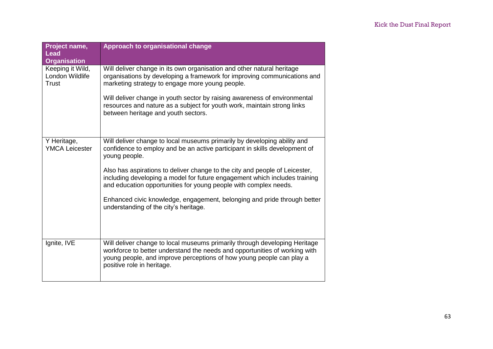| Project name,                                | Approach to organisational change                                                                                                                                                                                                                                                                                                                                                                                                                                                                                             |
|----------------------------------------------|-------------------------------------------------------------------------------------------------------------------------------------------------------------------------------------------------------------------------------------------------------------------------------------------------------------------------------------------------------------------------------------------------------------------------------------------------------------------------------------------------------------------------------|
| <b>Lead</b><br><b>Organisation</b>           |                                                                                                                                                                                                                                                                                                                                                                                                                                                                                                                               |
| Keeping it Wild,<br>London Wildlife<br>Trust | Will deliver change in its own organisation and other natural heritage<br>organisations by developing a framework for improving communications and<br>marketing strategy to engage more young people.<br>Will deliver change in youth sector by raising awareness of environmental<br>resources and nature as a subject for youth work, maintain strong links<br>between heritage and youth sectors.                                                                                                                          |
| Y Heritage,<br><b>YMCA Leicester</b>         | Will deliver change to local museums primarily by developing ability and<br>confidence to employ and be an active participant in skills development of<br>young people.<br>Also has aspirations to deliver change to the city and people of Leicester,<br>including developing a model for future engagement which includes training<br>and education opportunities for young people with complex needs.<br>Enhanced civic knowledge, engagement, belonging and pride through better<br>understanding of the city's heritage. |
| Ignite, IVE                                  | Will deliver change to local museums primarily through developing Heritage<br>workforce to better understand the needs and opportunities of working with<br>young people, and improve perceptions of how young people can play a<br>positive role in heritage.                                                                                                                                                                                                                                                                |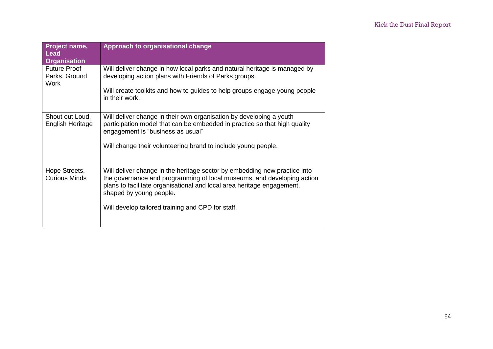| Project name,<br><b>Lead</b>                 | Approach to organisational change                                                                                                                                                                                                                                                                             |
|----------------------------------------------|---------------------------------------------------------------------------------------------------------------------------------------------------------------------------------------------------------------------------------------------------------------------------------------------------------------|
| <b>Organisation</b>                          |                                                                                                                                                                                                                                                                                                               |
| <b>Future Proof</b><br>Parks, Ground<br>Work | Will deliver change in how local parks and natural heritage is managed by<br>developing action plans with Friends of Parks groups.<br>Will create toolkits and how to guides to help groups engage young people<br>in their work.                                                                             |
| Shout out Loud,<br>English Heritage          | Will deliver change in their own organisation by developing a youth<br>participation model that can be embedded in practice so that high quality<br>engagement is "business as usual"<br>Will change their volunteering brand to include young people.                                                        |
| Hope Streets,<br><b>Curious Minds</b>        | Will deliver change in the heritage sector by embedding new practice into<br>the governance and programming of local museums, and developing action<br>plans to facilitate organisational and local area heritage engagement,<br>shaped by young people.<br>Will develop tailored training and CPD for staff. |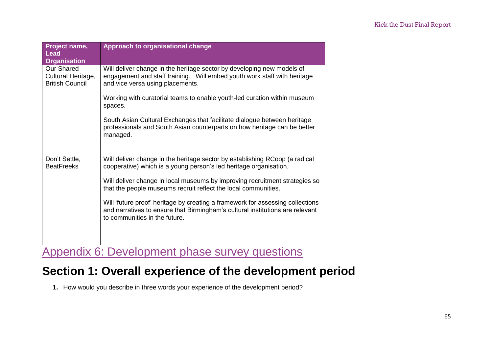| Project name,<br><b>Lead</b>                               | <b>Approach to organisational change</b>                                                                                                                                                         |
|------------------------------------------------------------|--------------------------------------------------------------------------------------------------------------------------------------------------------------------------------------------------|
| <b>Organisation</b>                                        |                                                                                                                                                                                                  |
| Our Shared<br>Cultural Heritage,<br><b>British Council</b> | Will deliver change in the heritage sector by developing new models of<br>engagement and staff training. Will embed youth work staff with heritage<br>and vice versa using placements.           |
|                                                            | Working with curatorial teams to enable youth-led curation within museum<br>spaces.                                                                                                              |
|                                                            | South Asian Cultural Exchanges that facilitate dialogue between heritage<br>professionals and South Asian counterparts on how heritage can be better<br>managed.                                 |
| Don't Settle,<br><b>BeatFreeks</b>                         | Will deliver change in the heritage sector by establishing RCoop (a radical<br>cooperative) which is a young person's led heritage organisation.                                                 |
|                                                            | Will deliver change in local museums by improving recruitment strategies so<br>that the people museums recruit reflect the local communities.                                                    |
|                                                            | Will 'future proof' heritage by creating a framework for assessing collections<br>and narratives to ensure that Birmingham's cultural institutions are relevant<br>to communities in the future. |
|                                                            |                                                                                                                                                                                                  |

Appendix 6: Development phase survey questions

### **Section 1: Overall experience of the development period**

**1.** How would you describe in three words your experience of the development period?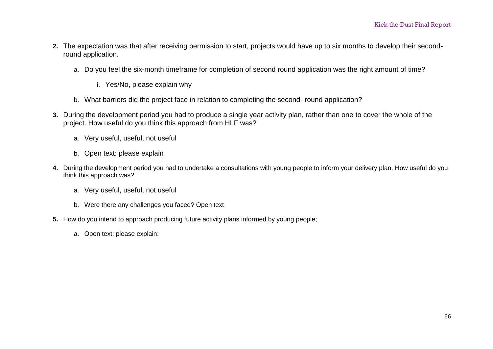- **2.** The expectation was that after receiving permission to start, projects would have up to six months to develop their secondround application.
	- a. Do you feel the six-month timeframe for completion of second round application was the right amount of time?
		- i. Yes/No, please explain why
	- b. What barriers did the project face in relation to completing the second- round application?
- **3.** During the development period you had to produce a single year activity plan, rather than one to cover the whole of the project. How useful do you think this approach from HLF was?
	- a. Very useful, useful, not useful
	- b. Open text: please explain
- **4.** During the development period you had to undertake a consultations with young people to inform your delivery plan. How useful do you think this approach was?
	- a. Very useful, useful, not useful
	- b. Were there any challenges you faced? Open text
- **5.** How do you intend to approach producing future activity plans informed by young people;
	- a. Open text: please explain: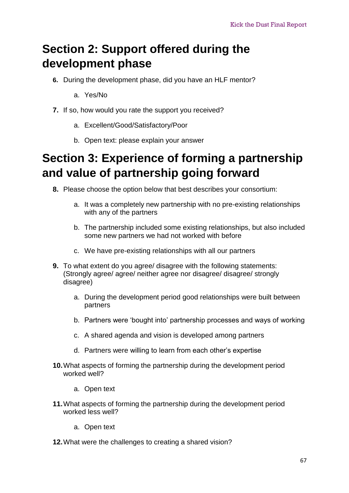# **Section 2: Support offered during the development phase**

- **6.** During the development phase, did you have an HLF mentor?
	- a. Yes/No
- **7.** If so, how would you rate the support you received?
	- a. Excellent/Good/Satisfactory/Poor
	- b. Open text: please explain your answer

## **Section 3: Experience of forming a partnership and value of partnership going forward**

- **8.** Please choose the option below that best describes your consortium:
	- a. It was a completely new partnership with no pre-existing relationships with any of the partners
	- b. The partnership included some existing relationships, but also included some new partners we had not worked with before
	- c. We have pre-existing relationships with all our partners
- **9.** To what extent do you agree/ disagree with the following statements: (Strongly agree/ agree/ neither agree nor disagree/ disagree/ strongly disagree)
	- a. During the development period good relationships were built between partners
	- b. Partners were 'bought into' partnership processes and ways of working
	- c. A shared agenda and vision is developed among partners
	- d. Partners were willing to learn from each other's expertise
- **10.**What aspects of forming the partnership during the development period worked well?
	- a. Open text
- **11.**What aspects of forming the partnership during the development period worked less well?
	- a. Open text
- **12.**What were the challenges to creating a shared vision?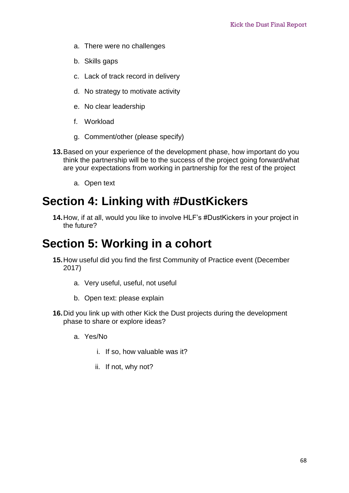- a. There were no challenges
- b. Skills gaps
- c. Lack of track record in delivery
- d. No strategy to motivate activity
- e. No clear leadership
- f. Workload
- g. Comment/other (please specify)
- **13.**Based on your experience of the development phase, how important do you think the partnership will be to the success of the project going forward/what are your expectations from working in partnership for the rest of the project
	- a. Open text

### **Section 4: Linking with #DustKickers**

**14.**How, if at all, would you like to involve HLF's #DustKickers in your project in the future?

### **Section 5: Working in a cohort**

- **15.**How useful did you find the first Community of Practice event (December 2017)
	- a. Very useful, useful, not useful
	- b. Open text: please explain
- **16.**Did you link up with other Kick the Dust projects during the development phase to share or explore ideas?
	- a. Yes/No
		- i. If so, how valuable was it?
		- ii. If not, why not?